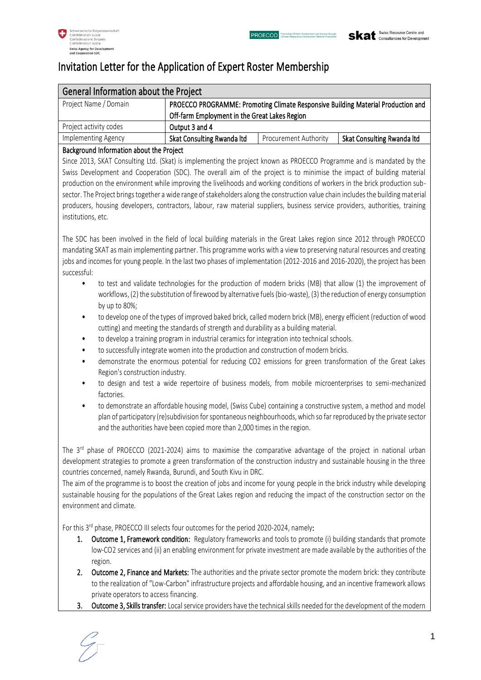# Invitation Letter for the Application of Expert Roster Membership

| General Information about the Project    |                                                                                                                                   |                              |                            |
|------------------------------------------|-----------------------------------------------------------------------------------------------------------------------------------|------------------------------|----------------------------|
| Project Name / Domain                    | PROECCO PROGRAMME: Promoting Climate Responsive Building Material Production and<br>Off-farm Employment in the Great Lakes Region |                              |                            |
| Project activity codes                   | Output 3 and 4                                                                                                                    |                              |                            |
| Implementing Agency                      | Skat Consulting Rwanda Itd                                                                                                        | <b>Procurement Authority</b> | Skat Consulting Rwanda Itd |
| Background Information about the Project |                                                                                                                                   |                              |                            |

Since 2013, SKAT Consulting Ltd. (Skat) is implementing the project known as PROECCO Programme and is mandated by the Swiss Development and Cooperation (SDC). The overall aim of the project is to minimise the impact of building material production on the environment while improving the livelihoods and working conditions of workers in the brick production subsector. The Project brings together a wide range of stakeholders along the construction value chain includes the building material producers, housing developers, contractors, labour, raw material suppliers, business service providers, authorities, training institutions, etc.

The SDC has been involved in the field of local building materials in the Great Lakes region since 2012 through PROECCO mandating SKAT as main implementing partner. This programme works with a view to preserving natural resources and creating jobs and incomes for young people. In the last two phases of implementation (2012-2016 and 2016-2020), the project has been successful:

- to test and validate technologies for the production of modern bricks (MB) that allow (1) the improvement of workflows, (2) the substitution of firewood by alternative fuels (bio-waste), (3) the reduction of energy consumption by up to 80%;
- to develop one of the types of improved baked brick, called modern brick (MB), energy efficient (reduction of wood cutting) and meeting the standards of strength and durability as a building material.
- to develop a training program in industrial ceramics for integration into technical schools.
- to successfully integrate women into the production and construction of modern bricks.
- demonstrate the enormous potential for reducing CO2 emissions for green transformation of the Great Lakes Region's construction industry.
- to design and test a wide repertoire of business models, from mobile microenterprises to semi-mechanized factories.
- to demonstrate an affordable housing model, (Swiss Cube) containing a constructive system, a method and model plan of participatory (re)subdivision for spontaneous neighbourhoods, which so far reproduced by the private sector and the authorities have been copied more than 2,000 times in the region.

The 3 rd phase of PROECCO (2021-2024) aims to maximise the comparative advantage of the project in national urban development strategies to promote a green transformation of the construction industry and sustainable housing in the three countries concerned, namely Rwanda, Burundi, and South Kivu in DRC.

The aim of the programme is to boost the creation of jobs and income for young people in the brick industry while developing sustainable housing for the populations of the Great Lakes region and reducing the impact of the construction sector on the environment and climate.

For this 3<sup>rd</sup> phase, PROECCO III selects four outcomes for the period 2020-2024, namely:

- 1. Outcome 1, Framework condition: Regulatory frameworks and tools to promote (i) building standards that promote low-CO2 services and (ii) an enabling environment for private investment are made available by the authorities of the region.
- 2. Outcome 2, Finance and Markets: The authorities and the private sector promote the modern brick: they contribute to the realization of "Low-Carbon" infrastructure projects and affordable housing, and an incentive framework allows private operators to access financing.
- 3. Outcome 3, Skills transfer: Local service providers have the technical skills needed for the development of the modern

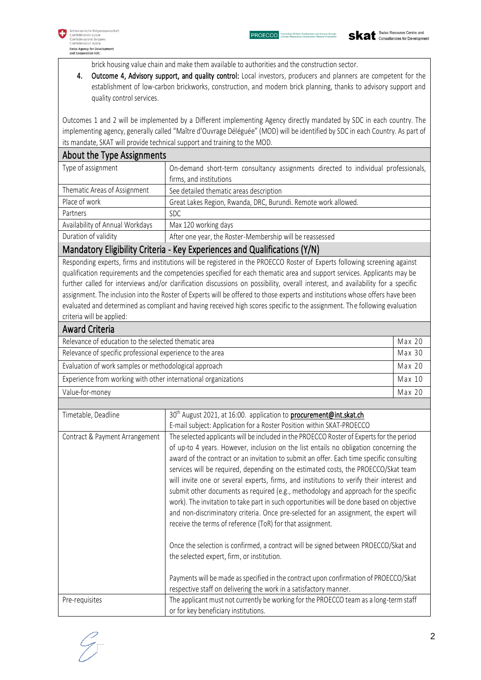

brick housing value chain and make them available to authorities and the construction sector.

4. Outcome 4, Advisory support, and quality control: Local investors, producers and planners are competent for the establishment of low-carbon brickworks, construction, and modern brick planning, thanks to advisory support and quality control services.

Outcomes 1 and 2 will be implemented by a Different implementing Agency directly mandated by SDC in each country. The implementing agency, generally called "Maître d'Ouvrage Déléguée" (MOD) will be identified by SDC in each Country. As part of its mandate, SKAT will provide technical support and training to the MOD.

| About the Type Assignments      |                                                                                    |  |
|---------------------------------|------------------------------------------------------------------------------------|--|
| Type of assignment              | On-demand short-term consultancy assignments directed to individual professionals, |  |
|                                 | firms, and institutions                                                            |  |
| Thematic Areas of Assignment    | See detailed thematic areas description                                            |  |
| Place of work                   | Great Lakes Region, Rwanda, DRC, Burundi. Remote work allowed.                     |  |
| Partners                        | SDC.                                                                               |  |
| Availability of Annual Workdays | Max 120 working days                                                               |  |
| Duration of validity            | After one year, the Roster-Membership will be reassessed                           |  |
|                                 |                                                                                    |  |

# Mandatory Eligibility Criteria - Key Experiences and Qualifications (Y/N)

Responding experts, firms and institutions will be registered in the PROECCO Roster of Experts following screening against qualification requirements and the competencies specified for each thematic area and support services. Applicants may be further called for interviews and/or clarification discussions on possibility, overall interest, and availability for a specific assignment. The inclusion into the Roster of Experts will be offered to those experts and institutions whose offers have been evaluated and determined as compliant and having received high scores specific to the assignment. The following evaluation criteria will be applied:

| <b>Award Criteria</b>                                          |        |
|----------------------------------------------------------------|--------|
| Relevance of education to the selected thematic area           | Max 20 |
| Relevance of specific professional experience to the area      | Max 30 |
| Evaluation of work samples or methodological approach          |        |
| Experience from working with other international organizations | Max 10 |
| Value-for-money                                                | Max 20 |

| Timetable, Deadline            | 30 <sup>th</sup> August 2021, at 16:00. application to <b>procurement@int.skat.ch</b>                                                                                                                                                                                                                                                                                                                                                                                                                                                                                                                                                                                                                                                                                                                    |
|--------------------------------|----------------------------------------------------------------------------------------------------------------------------------------------------------------------------------------------------------------------------------------------------------------------------------------------------------------------------------------------------------------------------------------------------------------------------------------------------------------------------------------------------------------------------------------------------------------------------------------------------------------------------------------------------------------------------------------------------------------------------------------------------------------------------------------------------------|
|                                | E-mail subject: Application for a Roster Position within SKAT-PROECCO                                                                                                                                                                                                                                                                                                                                                                                                                                                                                                                                                                                                                                                                                                                                    |
| Contract & Payment Arrangement | The selected applicants will be included in the PROECCO Roster of Experts for the period<br>of up-to 4 years. However, inclusion on the list entails no obligation concerning the<br>award of the contract or an invitation to submit an offer. Each time specific consulting<br>services will be required, depending on the estimated costs, the PROECCO/Skat team<br>will invite one or several experts, firms, and institutions to verify their interest and<br>submit other documents as required (e.g., methodology and approach for the specific<br>work). The invitation to take part in such opportunities will be done based on objective<br>and non-discriminatory criteria. Once pre-selected for an assignment, the expert will<br>receive the terms of reference (ToR) for that assignment. |
|                                | Once the selection is confirmed, a contract will be signed between PROECCO/Skat and<br>the selected expert, firm, or institution.                                                                                                                                                                                                                                                                                                                                                                                                                                                                                                                                                                                                                                                                        |
|                                | Payments will be made as specified in the contract upon confirmation of PROECCO/Skat<br>respective staff on delivering the work in a satisfactory manner.                                                                                                                                                                                                                                                                                                                                                                                                                                                                                                                                                                                                                                                |
| Pre-requisites                 | The applicant must not currently be working for the PROECCO team as a long-term staff<br>or for key beneficiary institutions.                                                                                                                                                                                                                                                                                                                                                                                                                                                                                                                                                                                                                                                                            |

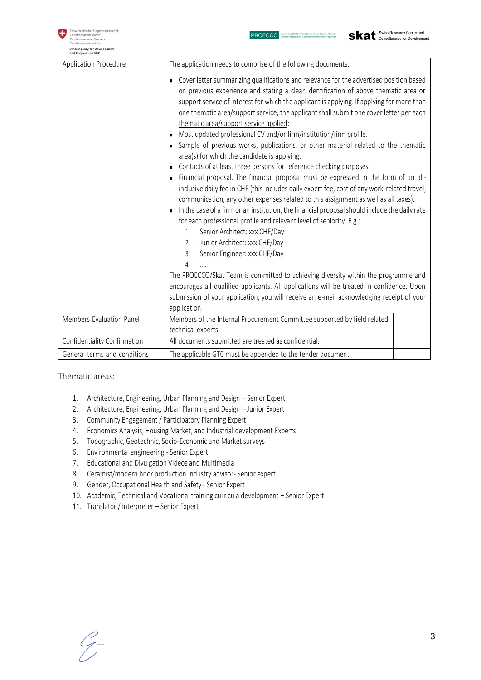| Application Procedure        | The application needs to comprise of the following documents:                                                                                                                                                                                                                                                                                                                                                                                                                                                                                                                                                                                                                                                                                                                                                                                                                                                                                                                                                                                                                                                                                                                                                                                                                                                                                                                                                                                                                                                                                                                                              |
|------------------------------|------------------------------------------------------------------------------------------------------------------------------------------------------------------------------------------------------------------------------------------------------------------------------------------------------------------------------------------------------------------------------------------------------------------------------------------------------------------------------------------------------------------------------------------------------------------------------------------------------------------------------------------------------------------------------------------------------------------------------------------------------------------------------------------------------------------------------------------------------------------------------------------------------------------------------------------------------------------------------------------------------------------------------------------------------------------------------------------------------------------------------------------------------------------------------------------------------------------------------------------------------------------------------------------------------------------------------------------------------------------------------------------------------------------------------------------------------------------------------------------------------------------------------------------------------------------------------------------------------------|
|                              | Cover letter summarizing qualifications and relevance for the advertised position based<br>on previous experience and stating a clear identification of above thematic area or<br>support service of interest for which the applicant is applying. If applying for more than<br>one thematic area/support service, the applicant shall submit one cover letter per each<br>thematic area/support service applied;<br>Most updated professional CV and/or firm/institution/firm profile.<br>Sample of previous works, publications, or other material related to the thematic<br>area(s) for which the candidate is applying.<br>Contacts of at least three persons for reference checking purposes;<br>Financial proposal. The financial proposal must be expressed in the form of an all-<br>٠<br>inclusive daily fee in CHF (this includes daily expert fee, cost of any work-related travel,<br>communication, any other expenses related to this assignment as well as all taxes).<br>In the case of a firm or an institution, the financial proposal should include the daily rate<br>$\blacksquare$<br>for each professional profile and relevant level of seniority. E.g.:<br>Senior Architect: xxx CHF/Day<br>1.<br>Junior Architect: xxx CHF/Day<br>2.<br>Senior Engineer: xxx CHF/Day<br>3.<br>4.<br>The PROECCO/Skat Team is committed to achieving diversity within the programme and<br>encourages all qualified applicants. All applications will be treated in confidence. Upon<br>submission of your application, you will receive an e-mail acknowledging receipt of your<br>application. |
| Members Evaluation Panel     | Members of the Internal Procurement Committee supported by field related                                                                                                                                                                                                                                                                                                                                                                                                                                                                                                                                                                                                                                                                                                                                                                                                                                                                                                                                                                                                                                                                                                                                                                                                                                                                                                                                                                                                                                                                                                                                   |
|                              | technical experts<br>All documents submitted are treated as confidential.                                                                                                                                                                                                                                                                                                                                                                                                                                                                                                                                                                                                                                                                                                                                                                                                                                                                                                                                                                                                                                                                                                                                                                                                                                                                                                                                                                                                                                                                                                                                  |
| Confidentiality Confirmation |                                                                                                                                                                                                                                                                                                                                                                                                                                                                                                                                                                                                                                                                                                                                                                                                                                                                                                                                                                                                                                                                                                                                                                                                                                                                                                                                                                                                                                                                                                                                                                                                            |
| General terms and conditions | The applicable GTC must be appended to the tender document                                                                                                                                                                                                                                                                                                                                                                                                                                                                                                                                                                                                                                                                                                                                                                                                                                                                                                                                                                                                                                                                                                                                                                                                                                                                                                                                                                                                                                                                                                                                                 |

#### Thematic areas:

- 1. Architecture, Engineering, Urban Planning and Design Senior Expert
- 2. Architecture, Engineering, Urban Planning and Design Junior Expert
- 3. Community Engagement / Participatory Planning Expert
- 4. Economics Analysis, Housing Market, and Industrial development Experts
- 5. Topographic, Geotechnic, Socio-Economic and Market surveys
- 6. Environmental engineering Senior Expert
- 7. Educational and Divulgation Videos and Multimedia
- 8. Ceramist/modern brick production industry advisor- Senior expert
- 9. Gender, Occupational Health and Safety– Senior Expert
- 10. Academic, Technical and Vocational training curricula development Senior Expert
- 11. Translator / Interpreter Senior Expert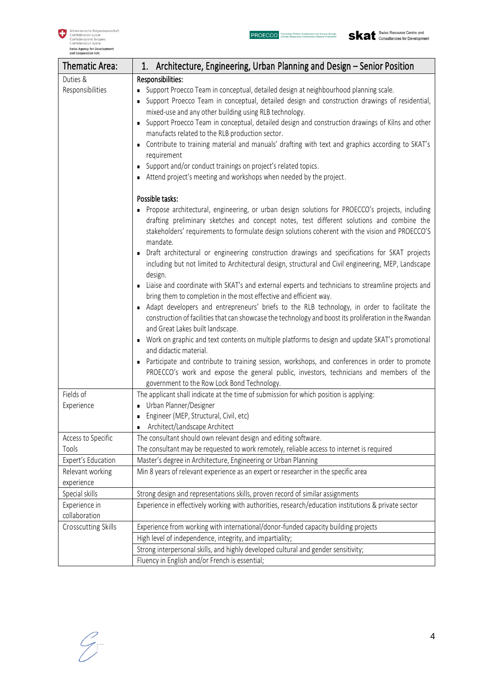

| Thematic Area:                 | 1. Architecture, Engineering, Urban Planning and Design - Senior Position                                                                                                                                                                                                                                                                                                                                                                                                                                                                                                                                                                                            |
|--------------------------------|----------------------------------------------------------------------------------------------------------------------------------------------------------------------------------------------------------------------------------------------------------------------------------------------------------------------------------------------------------------------------------------------------------------------------------------------------------------------------------------------------------------------------------------------------------------------------------------------------------------------------------------------------------------------|
| Duties &                       | Responsibilities:                                                                                                                                                                                                                                                                                                                                                                                                                                                                                                                                                                                                                                                    |
| Responsibilities               | Support Proecco Team in conceptual, detailed design at neighbourhood planning scale.<br>• Support Proecco Team in conceptual, detailed design and construction drawings of residential,<br>mixed-use and any other building using RLB technology.<br>Support Proecco Team in conceptual, detailed design and construction drawings of Kilns and other<br>manufacts related to the RLB production sector.<br>• Contribute to training material and manuals' drafting with text and graphics according to SKAT's<br>requirement<br>Support and/or conduct trainings on project's related topics.<br>Attend project's meeting and workshops when needed by the project. |
|                                | Possible tasks:                                                                                                                                                                                                                                                                                                                                                                                                                                                                                                                                                                                                                                                      |
|                                | Propose architectural, engineering, or urban design solutions for PROECCO's projects, including<br>drafting preliminary sketches and concept notes, test different solutions and combine the<br>stakeholders' requirements to formulate design solutions coherent with the vision and PROECCO'S<br>mandate.<br>Draft architectural or engineering construction drawings and specifications for SKAT projects                                                                                                                                                                                                                                                         |
|                                | including but not limited to Architectural design, structural and Civil engineering, MEP, Landscape<br>design.                                                                                                                                                                                                                                                                                                                                                                                                                                                                                                                                                       |
|                                | Liaise and coordinate with SKAT's and external experts and technicians to streamline projects and<br>bring them to completion in the most effective and efficient way.                                                                                                                                                                                                                                                                                                                                                                                                                                                                                               |
|                                | • Adapt developers and entrepreneurs' briefs to the RLB technology, in order to facilitate the<br>construction of facilities that can showcase the technology and boost its proliferation in the Rwandan<br>and Great Lakes built landscape.                                                                                                                                                                                                                                                                                                                                                                                                                         |
|                                | • Work on graphic and text contents on multiple platforms to design and update SKAT's promotional<br>and didactic material.                                                                                                                                                                                                                                                                                                                                                                                                                                                                                                                                          |
|                                | • Participate and contribute to training session, workshops, and conferences in order to promote<br>PROECCO's work and expose the general public, investors, technicians and members of the<br>government to the Row Lock Bond Technology.                                                                                                                                                                                                                                                                                                                                                                                                                           |
| Fields of                      | The applicant shall indicate at the time of submission for which position is applying:                                                                                                                                                                                                                                                                                                                                                                                                                                                                                                                                                                               |
| Experience                     | Urban Planner/Designer                                                                                                                                                                                                                                                                                                                                                                                                                                                                                                                                                                                                                                               |
|                                | · Engineer (MEP, Structural, Civil, etc)<br>Architect/Landscape Architect                                                                                                                                                                                                                                                                                                                                                                                                                                                                                                                                                                                            |
| Access to Specific             | The consultant should own relevant design and editing software.                                                                                                                                                                                                                                                                                                                                                                                                                                                                                                                                                                                                      |
| Tools                          | The consultant may be requested to work remotely, reliable access to internet is required                                                                                                                                                                                                                                                                                                                                                                                                                                                                                                                                                                            |
| Expert's Education             | Master's degree in Architecture, Engineering or Urban Planning                                                                                                                                                                                                                                                                                                                                                                                                                                                                                                                                                                                                       |
| Relevant working               | Min 8 years of relevant experience as an expert or researcher in the specific area                                                                                                                                                                                                                                                                                                                                                                                                                                                                                                                                                                                   |
| experience                     |                                                                                                                                                                                                                                                                                                                                                                                                                                                                                                                                                                                                                                                                      |
| Special skills                 | Strong design and representations skills, proven record of similar assignments                                                                                                                                                                                                                                                                                                                                                                                                                                                                                                                                                                                       |
| Experience in<br>collaboration | Experience in effectively working with authorities, research/education institutions & private sector                                                                                                                                                                                                                                                                                                                                                                                                                                                                                                                                                                 |
| Crosscutting Skills            | Experience from working with international/donor-funded capacity building projects                                                                                                                                                                                                                                                                                                                                                                                                                                                                                                                                                                                   |
|                                | High level of independence, integrity, and impartiality;                                                                                                                                                                                                                                                                                                                                                                                                                                                                                                                                                                                                             |
|                                | Strong interpersonal skills, and highly developed cultural and gender sensitivity;                                                                                                                                                                                                                                                                                                                                                                                                                                                                                                                                                                                   |
|                                | Fluency in English and/or French is essential;                                                                                                                                                                                                                                                                                                                                                                                                                                                                                                                                                                                                                       |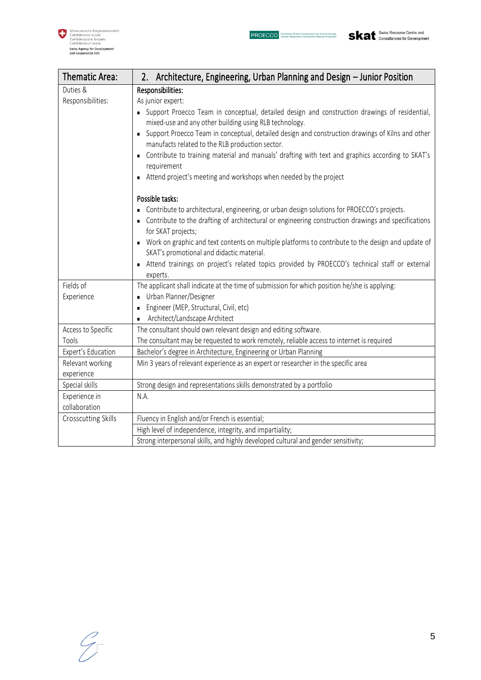

 $\sim$ 

| Thematic Area:      | 2. Architecture, Engineering, Urban Planning and Design – Junior Position                                                                                                                                                    |
|---------------------|------------------------------------------------------------------------------------------------------------------------------------------------------------------------------------------------------------------------------|
| Duties &            | Responsibilities:                                                                                                                                                                                                            |
| Responsibilities:   | As junior expert:                                                                                                                                                                                                            |
|                     | • Support Proecco Team in conceptual, detailed design and construction drawings of residential,<br>mixed-use and any other building using RLB technology.                                                                    |
|                     | • Support Proecco Team in conceptual, detailed design and construction drawings of Kilns and other<br>manufacts related to the RLB production sector.                                                                        |
|                     | • Contribute to training material and manuals' drafting with text and graphics according to SKAT's<br>requirement                                                                                                            |
|                     | Attend project's meeting and workshops when needed by the project                                                                                                                                                            |
|                     | Possible tasks:                                                                                                                                                                                                              |
|                     | • Contribute to architectural, engineering, or urban design solutions for PROECCO's projects.<br>• Contribute to the drafting of architectural or engineering construction drawings and specifications<br>for SKAT projects; |
|                     | • Work on graphic and text contents on multiple platforms to contribute to the design and update of<br>SKAT's promotional and didactic material.                                                                             |
|                     | Attend trainings on project's related topics provided by PROECCO's technical staff or external<br>experts.                                                                                                                   |
| Fields of           | The applicant shall indicate at the time of submission for which position he/she is applying:                                                                                                                                |
| Experience          | Urban Planner/Designer                                                                                                                                                                                                       |
|                     | Engineer (MEP, Structural, Civil, etc)                                                                                                                                                                                       |
|                     | Architect/Landscape Architect<br>$\blacksquare$                                                                                                                                                                              |
| Access to Specific  | The consultant should own relevant design and editing software.                                                                                                                                                              |
| Tools               | The consultant may be requested to work remotely, reliable access to internet is required                                                                                                                                    |
| Expert's Education  | Bachelor's degree in Architecture, Engineering or Urban Planning                                                                                                                                                             |
| Relevant working    | Min 3 years of relevant experience as an expert or researcher in the specific area                                                                                                                                           |
| experience          |                                                                                                                                                                                                                              |
| Special skills      | Strong design and representations skills demonstrated by a portfolio                                                                                                                                                         |
| Experience in       | N.A.                                                                                                                                                                                                                         |
| collaboration       |                                                                                                                                                                                                                              |
| Crosscutting Skills | Fluency in English and/or French is essential;                                                                                                                                                                               |
|                     | High level of independence, integrity, and impartiality;                                                                                                                                                                     |
|                     | Strong interpersonal skills, and highly developed cultural and gender sensitivity;                                                                                                                                           |

 $\overline{a}$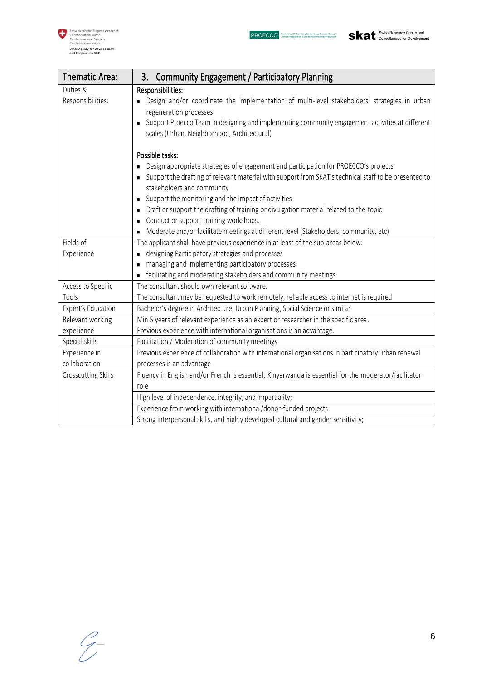

| Thematic Area:      | 3. Community Engagement / Participatory Planning                                                                                                                 |
|---------------------|------------------------------------------------------------------------------------------------------------------------------------------------------------------|
| Duties &            | Responsibilities:                                                                                                                                                |
| Responsibilities:   | Design and/or coordinate the implementation of multi-level stakeholders' strategies in urban<br>regeneration processes                                           |
|                     | Support Proecco Team in designing and implementing community engagement activities at different<br>$\blacksquare$<br>scales (Urban, Neighborhood, Architectural) |
|                     | Possible tasks:                                                                                                                                                  |
|                     | Design appropriate strategies of engagement and participation for PROECCO's projects<br>П                                                                        |
|                     | Support the drafting of relevant material with support from SKAT's technical staff to be presented to<br>$\blacksquare$<br>stakeholders and community            |
|                     | Support the monitoring and the impact of activities<br>п                                                                                                         |
|                     | Draft or support the drafting of training or divulgation material related to the topic<br>$\blacksquare$                                                         |
|                     | Conduct or support training workshops.<br>п                                                                                                                      |
|                     | Moderate and/or facilitate meetings at different level (Stakeholders, community, etc)<br>п                                                                       |
| Fields of           | The applicant shall have previous experience in at least of the sub-areas below:                                                                                 |
| Experience          | designing Participatory strategies and processes                                                                                                                 |
|                     | managing and implementing participatory processes                                                                                                                |
|                     | facilitating and moderating stakeholders and community meetings.<br>$\blacksquare$                                                                               |
| Access to Specific  | The consultant should own relevant software.                                                                                                                     |
| Tools               | The consultant may be requested to work remotely, reliable access to internet is required                                                                        |
| Expert's Education  | Bachelor's degree in Architecture, Urban Planning, Social Science or similar                                                                                     |
| Relevant working    | Min 5 years of relevant experience as an expert or researcher in the specific area.                                                                              |
| experience          | Previous experience with international organisations is an advantage.                                                                                            |
| Special skills      | Facilitation / Moderation of community meetings                                                                                                                  |
| Experience in       | Previous experience of collaboration with international organisations in participatory urban renewal                                                             |
| collaboration       | processes is an advantage                                                                                                                                        |
| Crosscutting Skills | Fluency in English and/or French is essential; Kinyarwanda is essential for the moderator/facilitator                                                            |
|                     | role                                                                                                                                                             |
|                     | High level of independence, integrity, and impartiality;                                                                                                         |
|                     | Experience from working with international/donor-funded projects                                                                                                 |
|                     | Strong interpersonal skills, and highly developed cultural and gender sensitivity;                                                                               |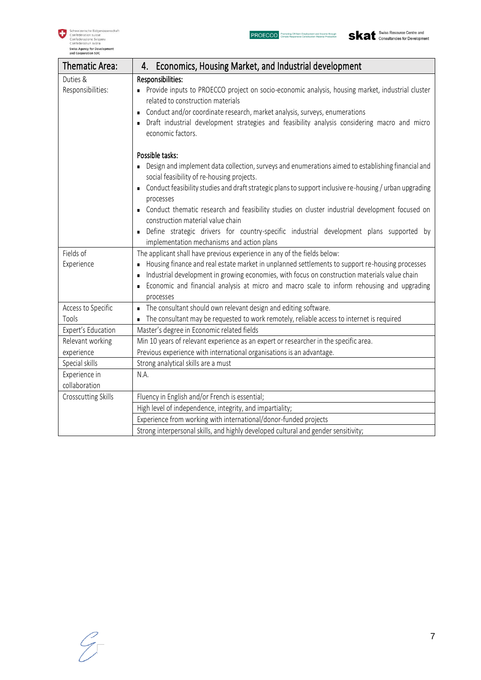

| <b>Thematic Area:</b>      | Economics, Housing Market, and Industrial development<br>4.                                                                                                                                                                                                                                                                                                                    |
|----------------------------|--------------------------------------------------------------------------------------------------------------------------------------------------------------------------------------------------------------------------------------------------------------------------------------------------------------------------------------------------------------------------------|
| Duties &                   | Responsibilities:                                                                                                                                                                                                                                                                                                                                                              |
| Responsibilities:          | • Provide inputs to PROECCO project on socio-economic analysis, housing market, industrial cluster<br>related to construction materials<br>Conduct and/or coordinate research, market analysis, surveys, enumerations<br>$\blacksquare$<br>Draft industrial development strategies and feasibility analysis considering macro and micro<br>$\blacksquare$<br>economic factors. |
|                            | Possible tasks:<br>Design and implement data collection, surveys and enumerations aimed to establishing financial and<br>٠                                                                                                                                                                                                                                                     |
|                            | social feasibility of re-housing projects.                                                                                                                                                                                                                                                                                                                                     |
|                            | Conduct feasibility studies and draft strategic plans to support inclusive re-housing / urban upgrading<br>$\blacksquare$<br>processes                                                                                                                                                                                                                                         |
|                            | Conduct thematic research and feasibility studies on cluster industrial development focused on<br>construction material value chain                                                                                                                                                                                                                                            |
|                            | Define strategic drivers for country-specific industrial development plans supported by<br>$\blacksquare$<br>implementation mechanisms and action plans                                                                                                                                                                                                                        |
| Fields of                  | The applicant shall have previous experience in any of the fields below:                                                                                                                                                                                                                                                                                                       |
| Experience                 | Housing finance and real estate market in unplanned settlements to support re-housing processes<br>$\blacksquare$<br>Industrial development in growing economies, with focus on construction materials value chain<br>$\blacksquare$                                                                                                                                           |
|                            | Economic and financial analysis at micro and macro scale to inform rehousing and upgrading<br>$\blacksquare$<br>processes                                                                                                                                                                                                                                                      |
| Access to Specific         | The consultant should own relevant design and editing software.<br>$\blacksquare$                                                                                                                                                                                                                                                                                              |
| Tools                      | The consultant may be requested to work remotely, reliable access to internet is required<br>$\blacksquare$                                                                                                                                                                                                                                                                    |
| Expert's Education         | Master's degree in Economic related fields                                                                                                                                                                                                                                                                                                                                     |
| Relevant working           | Min 10 years of relevant experience as an expert or researcher in the specific area.                                                                                                                                                                                                                                                                                           |
| experience                 | Previous experience with international organisations is an advantage.                                                                                                                                                                                                                                                                                                          |
| Special skills             | Strong analytical skills are a must                                                                                                                                                                                                                                                                                                                                            |
| Experience in              | N.A.                                                                                                                                                                                                                                                                                                                                                                           |
| collaboration              |                                                                                                                                                                                                                                                                                                                                                                                |
| <b>Crosscutting Skills</b> | Fluency in English and/or French is essential;                                                                                                                                                                                                                                                                                                                                 |
|                            | High level of independence, integrity, and impartiality;                                                                                                                                                                                                                                                                                                                       |
|                            | Experience from working with international/donor-funded projects                                                                                                                                                                                                                                                                                                               |
|                            | Strong interpersonal skills, and highly developed cultural and gender sensitivity;                                                                                                                                                                                                                                                                                             |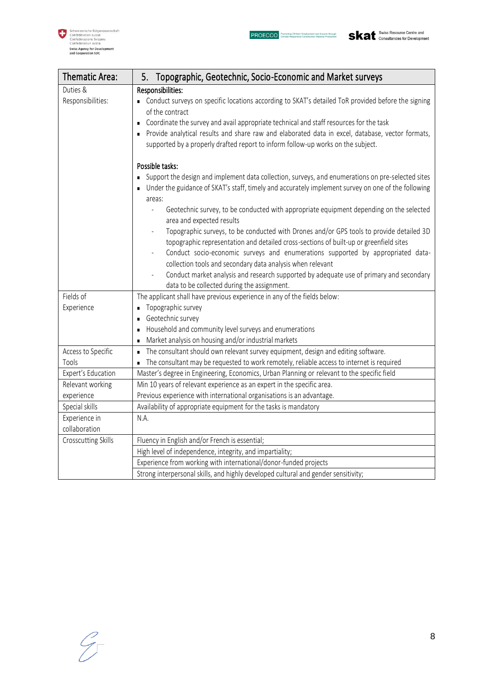

| Thematic Area:      | Topographic, Geotechnic, Socio-Economic and Market surveys<br>5.                                                     |
|---------------------|----------------------------------------------------------------------------------------------------------------------|
| Duties &            | Responsibilities:                                                                                                    |
| Responsibilities:   | • Conduct surveys on specific locations according to SKAT's detailed ToR provided before the signing                 |
|                     | of the contract                                                                                                      |
|                     | Coordinate the survey and avail appropriate technical and staff resources for the task                               |
|                     | Provide analytical results and share raw and elaborated data in excel, database, vector formats,                     |
|                     | supported by a properly drafted report to inform follow-up works on the subject.                                     |
|                     | Possible tasks:                                                                                                      |
|                     | Support the design and implement data collection, surveys, and enumerations on pre-selected sites<br>$\blacksquare$  |
|                     | Under the guidance of SKAT's staff, timely and accurately implement survey on one of the following                   |
|                     | areas:                                                                                                               |
|                     | Geotechnic survey, to be conducted with appropriate equipment depending on the selected<br>area and expected results |
|                     | Topographic surveys, to be conducted with Drones and/or GPS tools to provide detailed 3D                             |
|                     | topographic representation and detailed cross-sections of built-up or greenfield sites                               |
|                     | Conduct socio-economic surveys and enumerations supported by appropriated data-                                      |
|                     | collection tools and secondary data analysis when relevant                                                           |
|                     | Conduct market analysis and research supported by adequate use of primary and secondary                              |
|                     | data to be collected during the assignment.                                                                          |
| Fields of           | The applicant shall have previous experience in any of the fields below:                                             |
| Experience          | Topographic survey<br>$\blacksquare$                                                                                 |
|                     | Geotechnic survey<br>$\blacksquare$                                                                                  |
|                     | Household and community level surveys and enumerations<br>$\blacksquare$                                             |
|                     | Market analysis on housing and/or industrial markets<br>$\blacksquare$                                               |
| Access to Specific  | The consultant should own relevant survey equipment, design and editing software.<br>$\blacksquare$                  |
| Tools               | The consultant may be requested to work remotely, reliable access to internet is required                            |
| Expert's Education  | Master's degree in Engineering, Economics, Urban Planning or relevant to the specific field                          |
| Relevant working    | Min 10 years of relevant experience as an expert in the specific area.                                               |
| experience          | Previous experience with international organisations is an advantage.                                                |
| Special skills      | Availability of appropriate equipment for the tasks is mandatory                                                     |
| Experience in       | N.A.                                                                                                                 |
| collaboration       |                                                                                                                      |
| Crosscutting Skills | Fluency in English and/or French is essential;                                                                       |
|                     | High level of independence, integrity, and impartiality;                                                             |
|                     | Experience from working with international/donor-funded projects                                                     |
|                     | Strong interpersonal skills, and highly developed cultural and gender sensitivity;                                   |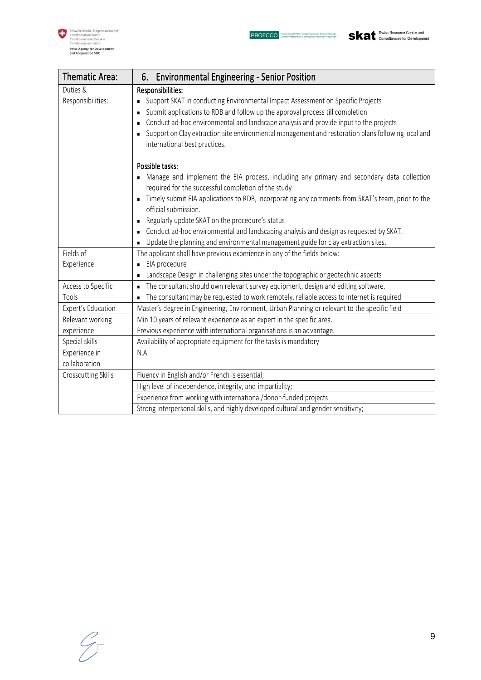

| Thematic Area:      | 6. Environmental Engineering - Senior Position                                                                                                                     |
|---------------------|--------------------------------------------------------------------------------------------------------------------------------------------------------------------|
| Duties &            | Responsibilities:                                                                                                                                                  |
| Responsibilities:   | Support SKAT in conducting Environmental Impact Assessment on Specific Projects                                                                                    |
|                     | Submit applications to RDB and follow up the approval process till completion<br>r                                                                                 |
|                     | Conduct ad-hoc environmental and landscape analysis and provide input to the projects<br>$\blacksquare$                                                            |
|                     | Support on Clay extraction site environmental management and restoration plans following local and<br>$\blacksquare$<br>international best practices.              |
|                     | Possible tasks:                                                                                                                                                    |
|                     | Manage and implement the EIA process, including any primary and secondary data collection<br>$\blacksquare$<br>required for the successful completion of the study |
|                     | Timely submit EIA applications to RDB, incorporating any comments from SKAT's team, prior to the<br>٠<br>official submission.                                      |
|                     | Regularly update SKAT on the procedure's status<br>п                                                                                                               |
|                     | Conduct ad-hoc environmental and landscaping analysis and design as requested by SKAT.<br>п                                                                        |
|                     | Update the planning and environmental management guide for clay extraction sites.<br>$\blacksquare$                                                                |
| Fields of           | The applicant shall have previous experience in any of the fields below:                                                                                           |
| Experience          | EIA procedure<br>$\blacksquare$                                                                                                                                    |
|                     | Landscape Design in challenging sites under the topographic or geotechnic aspects                                                                                  |
| Access to Specific  | The consultant should own relevant survey equipment, design and editing software.<br>$\blacksquare$                                                                |
| Tools               | The consultant may be requested to work remotely, reliable access to internet is required<br>$\blacksquare$                                                        |
| Expert's Education  | Master's degree in Engineering, Environment, Urban Planning or relevant to the specific field                                                                      |
| Relevant working    | Min 10 years of relevant experience as an expert in the specific area.                                                                                             |
| experience          | Previous experience with international organisations is an advantage.                                                                                              |
| Special skills      | Availability of appropriate equipment for the tasks is mandatory                                                                                                   |
| Experience in       | N.A.                                                                                                                                                               |
| collaboration       |                                                                                                                                                                    |
| Crosscutting Skills | Fluency in English and/or French is essential;                                                                                                                     |
|                     | High level of independence, integrity, and impartiality;                                                                                                           |
|                     | Experience from working with international/donor-funded projects                                                                                                   |
|                     | Strong interpersonal skills, and highly developed cultural and gender sensitivity;                                                                                 |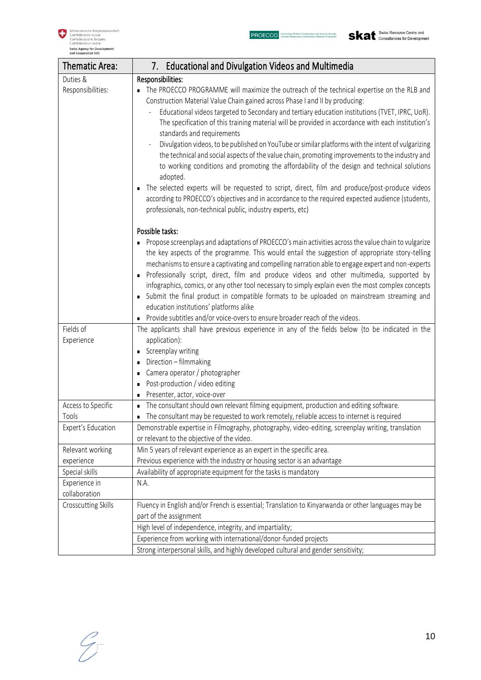

| Thematic Area:      | 7. Educational and Divulgation Videos and Multimedia                                                                                                                                                                                                                                                                                                                                                                                                                                                                                                                                                                                |
|---------------------|-------------------------------------------------------------------------------------------------------------------------------------------------------------------------------------------------------------------------------------------------------------------------------------------------------------------------------------------------------------------------------------------------------------------------------------------------------------------------------------------------------------------------------------------------------------------------------------------------------------------------------------|
| Duties &            | Responsibilities:                                                                                                                                                                                                                                                                                                                                                                                                                                                                                                                                                                                                                   |
| Responsibilities:   | The PROECCO PROGRAMME will maximize the outreach of the technical expertise on the RLB and<br>Construction Material Value Chain gained across Phase I and II by producing:                                                                                                                                                                                                                                                                                                                                                                                                                                                          |
|                     | Educational videos targeted to Secondary and tertiary education institutions (TVET, IPRC, UoR).                                                                                                                                                                                                                                                                                                                                                                                                                                                                                                                                     |
|                     | The specification of this training material will be provided in accordance with each institution's<br>standards and requirements                                                                                                                                                                                                                                                                                                                                                                                                                                                                                                    |
|                     | Divulgation videos, to be published on YouTube or similar platforms with the intent of vulgarizing<br>the technical and social aspects of the value chain, promoting improvements to the industry and<br>to working conditions and promoting the affordability of the design and technical solutions<br>adopted.                                                                                                                                                                                                                                                                                                                    |
|                     | The selected experts will be requested to script, direct, film and produce/post-produce videos<br>п<br>according to PROECCO's objectives and in accordance to the required expected audience (students,<br>professionals, non-technical public, industry experts, etc)                                                                                                                                                                                                                                                                                                                                                              |
|                     | Possible tasks:                                                                                                                                                                                                                                                                                                                                                                                                                                                                                                                                                                                                                     |
|                     | Propose screenplays and adaptations of PROECCO's main activities across the value chain to vulgarize<br>٠<br>the key aspects of the programme. This would entail the suggestion of appropriate story-telling<br>mechanisms to ensure a captivating and compelling narration able to engage expert and non-experts<br>Professionally script, direct, film and produce videos and other multimedia, supported by<br>infographics, comics, or any other tool necessary to simply explain even the most complex concepts<br>Submit the final product in compatible formats to be uploaded on mainstream streaming and<br>$\blacksquare$ |
|                     | education institutions' platforms alike<br>Provide subtitles and/or voice-overs to ensure broader reach of the videos.                                                                                                                                                                                                                                                                                                                                                                                                                                                                                                              |
| Fields of           | The applicants shall have previous experience in any of the fields below (to be indicated in the                                                                                                                                                                                                                                                                                                                                                                                                                                                                                                                                    |
| Experience          | application):                                                                                                                                                                                                                                                                                                                                                                                                                                                                                                                                                                                                                       |
|                     | Screenplay writing                                                                                                                                                                                                                                                                                                                                                                                                                                                                                                                                                                                                                  |
|                     | Direction - filmmaking                                                                                                                                                                                                                                                                                                                                                                                                                                                                                                                                                                                                              |
|                     | Camera operator / photographer<br>٠                                                                                                                                                                                                                                                                                                                                                                                                                                                                                                                                                                                                 |
|                     | Post-production / video editing<br>п                                                                                                                                                                                                                                                                                                                                                                                                                                                                                                                                                                                                |
|                     | Presenter, actor, voice-over                                                                                                                                                                                                                                                                                                                                                                                                                                                                                                                                                                                                        |
| Access to Specific  | The consultant should own relevant filming equipment, production and editing software.<br>п                                                                                                                                                                                                                                                                                                                                                                                                                                                                                                                                         |
| Tools               | The consultant may be requested to work remotely, reliable access to internet is required<br>٠                                                                                                                                                                                                                                                                                                                                                                                                                                                                                                                                      |
| Expert's Education  | Demonstrable expertise in Filmography, photography, video-editing, screenplay writing, translation<br>or relevant to the objective of the video.                                                                                                                                                                                                                                                                                                                                                                                                                                                                                    |
| Relevant working    | Min 5 years of relevant experience as an expert in the specific area.                                                                                                                                                                                                                                                                                                                                                                                                                                                                                                                                                               |
| experience          | Previous experience with the industry or housing sector is an advantage                                                                                                                                                                                                                                                                                                                                                                                                                                                                                                                                                             |
| Special skills      | Availability of appropriate equipment for the tasks is mandatory                                                                                                                                                                                                                                                                                                                                                                                                                                                                                                                                                                    |
| Experience in       | N.A.                                                                                                                                                                                                                                                                                                                                                                                                                                                                                                                                                                                                                                |
| collaboration       |                                                                                                                                                                                                                                                                                                                                                                                                                                                                                                                                                                                                                                     |
| Crosscutting Skills | Fluency in English and/or French is essential; Translation to Kinyarwanda or other languages may be<br>part of the assignment                                                                                                                                                                                                                                                                                                                                                                                                                                                                                                       |
|                     | High level of independence, integrity, and impartiality;                                                                                                                                                                                                                                                                                                                                                                                                                                                                                                                                                                            |
|                     | Experience from working with international/donor-funded projects                                                                                                                                                                                                                                                                                                                                                                                                                                                                                                                                                                    |
|                     | Strong interpersonal skills, and highly developed cultural and gender sensitivity;                                                                                                                                                                                                                                                                                                                                                                                                                                                                                                                                                  |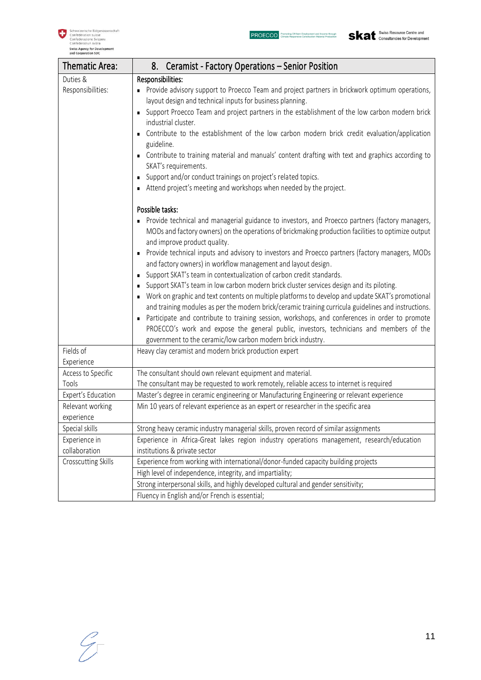

| Thematic Area:             | 8. Ceramist - Factory Operations - Senior Position                                                                                                                                                                                      |
|----------------------------|-----------------------------------------------------------------------------------------------------------------------------------------------------------------------------------------------------------------------------------------|
| Duties &                   | Responsibilities:                                                                                                                                                                                                                       |
| Responsibilities:          | Provide advisory support to Proecco Team and project partners in brickwork optimum operations,<br>layout design and technical inputs for business planning.                                                                             |
|                            | • Support Proecco Team and project partners in the establishment of the low carbon modern brick<br>industrial cluster.<br>Contribute to the establishment of the low carbon modern brick credit evaluation/application                  |
|                            | guideline.                                                                                                                                                                                                                              |
|                            | • Contribute to training material and manuals' content drafting with text and graphics according to<br>SKAT's requirements.                                                                                                             |
|                            | Support and/or conduct trainings on project's related topics.                                                                                                                                                                           |
|                            | Attend project's meeting and workshops when needed by the project.                                                                                                                                                                      |
|                            | Possible tasks:                                                                                                                                                                                                                         |
|                            | • Provide technical and managerial guidance to investors, and Proecco partners (factory managers,<br>MODs and factory owners) on the operations of brickmaking production facilities to optimize output<br>and improve product quality. |
|                            | Provide technical inputs and advisory to investors and Proecco partners (factory managers, MODs<br>and factory owners) in workflow management and layout design.                                                                        |
|                            | Support SKAT's team in contextualization of carbon credit standards.                                                                                                                                                                    |
|                            | Support SKAT's team in low carbon modern brick cluster services design and its piloting.                                                                                                                                                |
|                            | • Work on graphic and text contents on multiple platforms to develop and update SKAT's promotional                                                                                                                                      |
|                            | and training modules as per the modern brick/ceramic training curricula guidelines and instructions.                                                                                                                                    |
|                            | Participate and contribute to training session, workshops, and conferences in order to promote                                                                                                                                          |
|                            | PROECCO's work and expose the general public, investors, technicians and members of the                                                                                                                                                 |
|                            | government to the ceramic/low carbon modern brick industry.                                                                                                                                                                             |
| Fields of                  | Heavy clay ceramist and modern brick production expert                                                                                                                                                                                  |
| Experience                 |                                                                                                                                                                                                                                         |
| Access to Specific         | The consultant should own relevant equipment and material.                                                                                                                                                                              |
| Tools                      | The consultant may be requested to work remotely, reliable access to internet is required                                                                                                                                               |
| Expert's Education         | Master's degree in ceramic engineering or Manufacturing Engineering or relevant experience                                                                                                                                              |
| Relevant working           | Min 10 years of relevant experience as an expert or researcher in the specific area                                                                                                                                                     |
| experience                 |                                                                                                                                                                                                                                         |
| Special skills             | Strong heavy ceramic industry managerial skills, proven record of similar assignments                                                                                                                                                   |
| Experience in              | Experience in Africa-Great lakes region industry operations management, research/education                                                                                                                                              |
| collaboration              | institutions & private sector                                                                                                                                                                                                           |
| <b>Crosscutting Skills</b> | Experience from working with international/donor-funded capacity building projects                                                                                                                                                      |
|                            | High level of independence, integrity, and impartiality;                                                                                                                                                                                |
|                            | Strong interpersonal skills, and highly developed cultural and gender sensitivity;                                                                                                                                                      |
|                            | Fluency in English and/or French is essential;                                                                                                                                                                                          |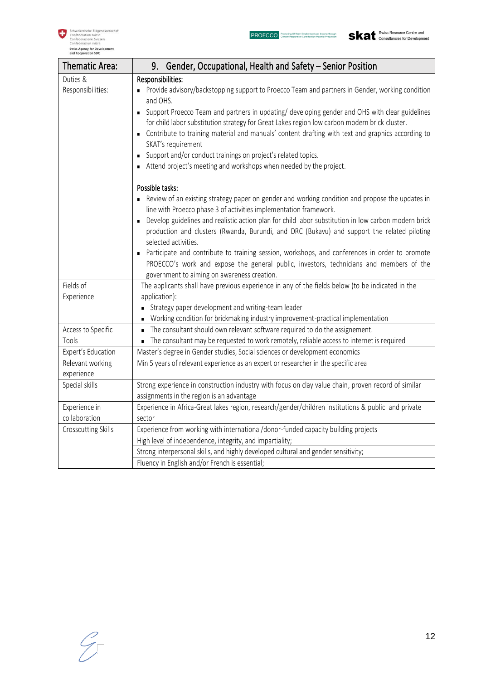

| Thematic Area:      | 9. Gender, Occupational, Health and Safety - Senior Position                                                                                                                                                                                                                                                                                                                                |
|---------------------|---------------------------------------------------------------------------------------------------------------------------------------------------------------------------------------------------------------------------------------------------------------------------------------------------------------------------------------------------------------------------------------------|
| Duties &            | Responsibilities:                                                                                                                                                                                                                                                                                                                                                                           |
| Responsibilities:   | Provide advisory/backstopping support to Proecco Team and partners in Gender, working condition<br>and OHS.                                                                                                                                                                                                                                                                                 |
|                     | Support Proecco Team and partners in updating/ developing gender and OHS with clear guidelines<br>for child labor substitution strategy for Great Lakes region low carbon modern brick cluster.<br>Contribute to training material and manuals' content drafting with text and graphics according to<br>SKAT's requirement<br>Support and/or conduct trainings on project's related topics. |
|                     |                                                                                                                                                                                                                                                                                                                                                                                             |
|                     | Attend project's meeting and workshops when needed by the project.                                                                                                                                                                                                                                                                                                                          |
|                     | Possible tasks:                                                                                                                                                                                                                                                                                                                                                                             |
|                     | Review of an existing strategy paper on gender and working condition and propose the updates in<br>line with Proecco phase 3 of activities implementation framework.                                                                                                                                                                                                                        |
|                     | Develop guidelines and realistic action plan for child labor substitution in low carbon modern brick<br>$\blacksquare$<br>production and clusters (Rwanda, Burundi, and DRC (Bukavu) and support the related piloting<br>selected activities.                                                                                                                                               |
|                     | Participate and contribute to training session, workshops, and conferences in order to promote<br>$\blacksquare$<br>PROECCO's work and expose the general public, investors, technicians and members of the                                                                                                                                                                                 |
|                     | government to aiming on awareness creation.                                                                                                                                                                                                                                                                                                                                                 |
| Fields of           | The applicants shall have previous experience in any of the fields below (to be indicated in the                                                                                                                                                                                                                                                                                            |
| Experience          | application):                                                                                                                                                                                                                                                                                                                                                                               |
|                     | Strategy paper development and writing-team leader                                                                                                                                                                                                                                                                                                                                          |
|                     | Working condition for brickmaking industry improvement-practical implementation<br>٠                                                                                                                                                                                                                                                                                                        |
| Access to Specific  | The consultant should own relevant software required to do the assignement.<br>$\blacksquare$                                                                                                                                                                                                                                                                                               |
| Tools               | The consultant may be requested to work remotely, reliable access to internet is required<br>×,                                                                                                                                                                                                                                                                                             |
| Expert's Education  | Master's degree in Gender studies, Social sciences or development economics                                                                                                                                                                                                                                                                                                                 |
| Relevant working    | Min 5 years of relevant experience as an expert or researcher in the specific area                                                                                                                                                                                                                                                                                                          |
| experience          |                                                                                                                                                                                                                                                                                                                                                                                             |
| Special skills      | Strong experience in construction industry with focus on clay value chain, proven record of similar                                                                                                                                                                                                                                                                                         |
|                     | assignments in the region is an advantage                                                                                                                                                                                                                                                                                                                                                   |
| Experience in       | Experience in Africa-Great lakes region, research/gender/children institutions & public and private                                                                                                                                                                                                                                                                                         |
| collaboration       | sector                                                                                                                                                                                                                                                                                                                                                                                      |
| Crosscutting Skills | Experience from working with international/donor-funded capacity building projects                                                                                                                                                                                                                                                                                                          |
|                     | High level of independence, integrity, and impartiality;                                                                                                                                                                                                                                                                                                                                    |
|                     | Strong interpersonal skills, and highly developed cultural and gender sensitivity;                                                                                                                                                                                                                                                                                                          |
|                     | Fluency in English and/or French is essential;                                                                                                                                                                                                                                                                                                                                              |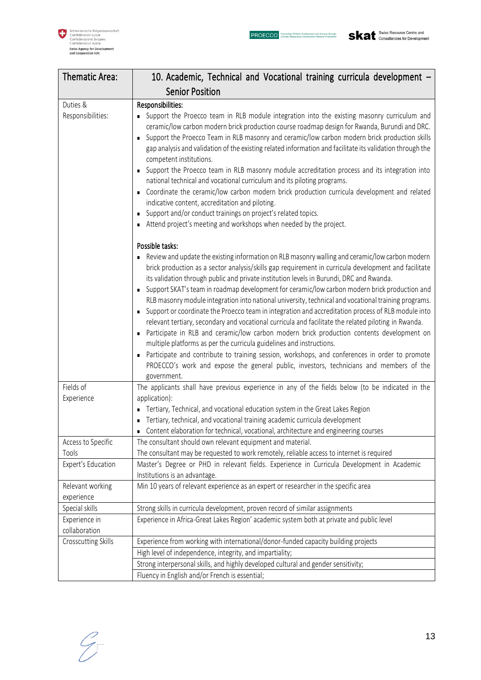| Thematic Area:                                    | 10. Academic, Technical and Vocational training curricula development -                                                                                                                                                                                                                                                                                                                                                                                                                                                                                                                                                                                                                                                                                                                                                                                                                                                                                                                                                                                                                                                                                                                                                                                             |
|---------------------------------------------------|---------------------------------------------------------------------------------------------------------------------------------------------------------------------------------------------------------------------------------------------------------------------------------------------------------------------------------------------------------------------------------------------------------------------------------------------------------------------------------------------------------------------------------------------------------------------------------------------------------------------------------------------------------------------------------------------------------------------------------------------------------------------------------------------------------------------------------------------------------------------------------------------------------------------------------------------------------------------------------------------------------------------------------------------------------------------------------------------------------------------------------------------------------------------------------------------------------------------------------------------------------------------|
|                                                   | <b>Senior Position</b>                                                                                                                                                                                                                                                                                                                                                                                                                                                                                                                                                                                                                                                                                                                                                                                                                                                                                                                                                                                                                                                                                                                                                                                                                                              |
| Duties &<br>Responsibilities:                     | Responsibilities:<br>• Support the Proecco team in RLB module integration into the existing masonry curriculum and<br>ceramic/low carbon modern brick production course roadmap design for Rwanda, Burundi and DRC.<br>• Support the Proecco Team in RLB masonry and ceramic/low carbon modern brick production skills<br>gap analysis and validation of the existing related information and facilitate its validation through the<br>competent institutions.<br>• Support the Proecco team in RLB masonry module accreditation process and its integration into<br>national technical and vocational curriculum and its piloting programs.<br>• Coordinate the ceramic/low carbon modern brick production curricula development and related<br>indicative content, accreditation and piloting.<br>• Support and/or conduct trainings on project's related topics.<br>Attend project's meeting and workshops when needed by the project.<br>Possible tasks:<br>Review and update the existing information on RLB masonry walling and ceramic/low carbon modern<br>brick production as a sector analysis/skills gap requirement in curricula development and facilitate<br>its validation through public and private institution levels in Burundi, DRC and Rwanda. |
|                                                   | • Support SKAT's team in roadmap development for ceramic/low carbon modern brick production and<br>RLB masonry module integration into national university, technical and vocational training programs.<br>• Support or coordinate the Proecco team in integration and accreditation process of RLB module into<br>relevant tertiary, secondary and vocational curricula and facilitate the related piloting in Rwanda.<br>Participate in RLB and ceramic/low carbon modern brick production contents development on<br>multiple platforms as per the curricula guidelines and instructions.<br>• Participate and contribute to training session, workshops, and conferences in order to promote<br>PROECCO's work and expose the general public, investors, technicians and members of the<br>government.                                                                                                                                                                                                                                                                                                                                                                                                                                                          |
| Fields of<br>Experience                           | The applicants shall have previous experience in any of the fields below (to be indicated in the<br>application):<br>Tertiary, Technical, and vocational education system in the Great Lakes Region<br>Tertiary, technical, and vocational training academic curricula development<br>Content elaboration for technical, vocational, architecture and engineering courses                                                                                                                                                                                                                                                                                                                                                                                                                                                                                                                                                                                                                                                                                                                                                                                                                                                                                           |
| Access to Specific<br>Tools<br>Expert's Education | The consultant should own relevant equipment and material.<br>The consultant may be requested to work remotely, reliable access to internet is required<br>Master's Degree or PHD in relevant fields. Experience in Curricula Development in Academic                                                                                                                                                                                                                                                                                                                                                                                                                                                                                                                                                                                                                                                                                                                                                                                                                                                                                                                                                                                                               |
| Relevant working                                  | Institutions is an advantage.<br>Min 10 years of relevant experience as an expert or researcher in the specific area                                                                                                                                                                                                                                                                                                                                                                                                                                                                                                                                                                                                                                                                                                                                                                                                                                                                                                                                                                                                                                                                                                                                                |
| experience                                        |                                                                                                                                                                                                                                                                                                                                                                                                                                                                                                                                                                                                                                                                                                                                                                                                                                                                                                                                                                                                                                                                                                                                                                                                                                                                     |
| Special skills<br>Experience in<br>collaboration  | Strong skills in curricula development, proven record of similar assignments<br>Experience in Africa-Great Lakes Region' academic system both at private and public level                                                                                                                                                                                                                                                                                                                                                                                                                                                                                                                                                                                                                                                                                                                                                                                                                                                                                                                                                                                                                                                                                           |
| Crosscutting Skills                               | Experience from working with international/donor-funded capacity building projects<br>High level of independence, integrity, and impartiality;<br>Strong interpersonal skills, and highly developed cultural and gender sensitivity;                                                                                                                                                                                                                                                                                                                                                                                                                                                                                                                                                                                                                                                                                                                                                                                                                                                                                                                                                                                                                                |
|                                                   | Fluency in English and/or French is essential;                                                                                                                                                                                                                                                                                                                                                                                                                                                                                                                                                                                                                                                                                                                                                                                                                                                                                                                                                                                                                                                                                                                                                                                                                      |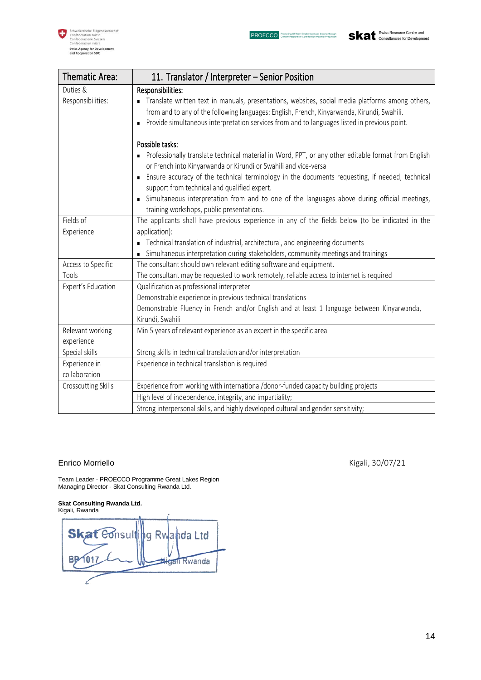**Skat** Swiss Resource Centre and



| <b>Thematic Area:</b>          | 11. Translator / Interpreter – Senior Position                                                                                                                                                                                                                                                    |
|--------------------------------|---------------------------------------------------------------------------------------------------------------------------------------------------------------------------------------------------------------------------------------------------------------------------------------------------|
| Duties &                       | Responsibilities:                                                                                                                                                                                                                                                                                 |
| Responsibilities:              | Translate written text in manuals, presentations, websites, social media platforms among others,<br>from and to any of the following languages: English, French, Kinyarwanda, Kirundi, Swahili.<br>• Provide simultaneous interpretation services from and to languages listed in previous point. |
|                                | Possible tasks:                                                                                                                                                                                                                                                                                   |
|                                | • Professionally translate technical material in Word, PPT, or any other editable format from English<br>or French into Kinyarwanda or Kirundi or Swahili and vice-versa                                                                                                                          |
|                                | Ensure accuracy of the technical terminology in the documents requesting, if needed, technical<br>support from technical and qualified expert.                                                                                                                                                    |
|                                | simultaneous interpretation from and to one of the languages above during official meetings,<br>training workshops, public presentations.                                                                                                                                                         |
| Fields of                      | The applicants shall have previous experience in any of the fields below (to be indicated in the                                                                                                                                                                                                  |
| Experience                     | application):                                                                                                                                                                                                                                                                                     |
|                                | • Technical translation of industrial, architectural, and engineering documents                                                                                                                                                                                                                   |
|                                | • Simultaneous interpretation during stakeholders, community meetings and trainings                                                                                                                                                                                                               |
| Access to Specific             | The consultant should own relevant editing software and equipment.                                                                                                                                                                                                                                |
| Tools                          | The consultant may be requested to work remotely, reliable access to internet is required                                                                                                                                                                                                         |
| Expert's Education             | Qualification as professional interpreter                                                                                                                                                                                                                                                         |
|                                | Demonstrable experience in previous technical translations                                                                                                                                                                                                                                        |
|                                | Demonstrable Fluency in French and/or English and at least 1 language between Kinyarwanda,<br>Kirundi, Swahili                                                                                                                                                                                    |
| Relevant working               | Min 5 years of relevant experience as an expert in the specific area                                                                                                                                                                                                                              |
| experience                     |                                                                                                                                                                                                                                                                                                   |
| Special skills                 | Strong skills in technical translation and/or interpretation                                                                                                                                                                                                                                      |
| Experience in<br>collaboration | Experience in technical translation is required                                                                                                                                                                                                                                                   |
| Crosscutting Skills            | Experience from working with international/donor-funded capacity building projects                                                                                                                                                                                                                |
|                                | High level of independence, integrity, and impartiality;                                                                                                                                                                                                                                          |
|                                | Strong interpersonal skills, and highly developed cultural and gender sensitivity;                                                                                                                                                                                                                |

#### Enrico Morriello **Kigali**, 30/07/21

Team Leader - PROECCO Programme Great Lakes Region Managing Director - Skat Consulting Rwanda Ltd.

#### **Skat Consulting Rwanda Ltd.**

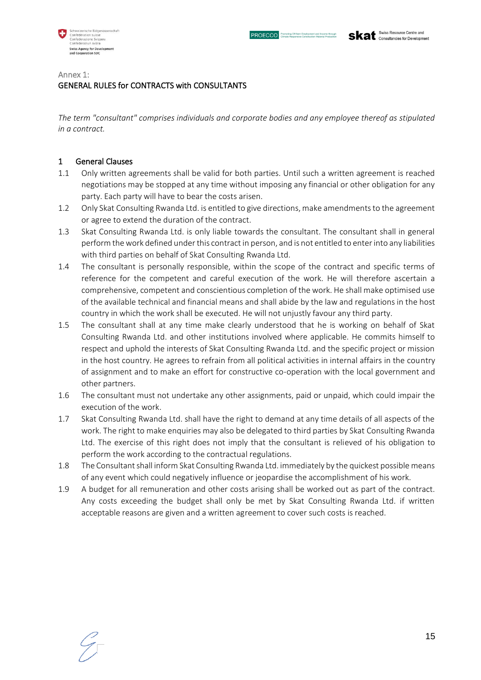

#### Annex 1:

# GENERAL RULES for CONTRACTS with CONSULTANTS

*The term "consultant" comprises individuals and corporate bodies and any employee thereof as stipulated in a contract.* 

#### 1 General Clauses

- 1.1 Only written agreements shall be valid for both parties. Until such a written agreement is reached negotiations may be stopped at any time without imposing any financial or other obligation for any party. Each party will have to bear the costs arisen.
- 1.2 Only Skat Consulting Rwanda Ltd. is entitled to give directions, make amendments to the agreement or agree to extend the duration of the contract.
- 1.3 Skat Consulting Rwanda Ltd. is only liable towards the consultant. The consultant shall in general perform the work defined under this contract in person, and is not entitled to enter into any liabilities with third parties on behalf of Skat Consulting Rwanda Ltd.
- 1.4 The consultant is personally responsible, within the scope of the contract and specific terms of reference for the competent and careful execution of the work. He will therefore ascertain a comprehensive, competent and conscientious completion of the work. He shall make optimised use of the available technical and financial means and shall abide by the law and regulations in the host country in which the work shall be executed. He will not unjustly favour any third party.
- 1.5 The consultant shall at any time make clearly understood that he is working on behalf of Skat Consulting Rwanda Ltd. and other institutions involved where applicable. He commits himself to respect and uphold the interests of Skat Consulting Rwanda Ltd. and the specific project or mission in the host country. He agrees to refrain from all political activities in internal affairs in the country of assignment and to make an effort for constructive co-operation with the local government and other partners.
- 1.6 The consultant must not undertake any other assignments, paid or unpaid, which could impair the execution of the work.
- 1.7 Skat Consulting Rwanda Ltd. shall have the right to demand at any time details of all aspects of the work. The right to make enquiries may also be delegated to third parties by Skat Consulting Rwanda Ltd. The exercise of this right does not imply that the consultant is relieved of his obligation to perform the work according to the contractual regulations.
- 1.8 The Consultant shall inform Skat Consulting Rwanda Ltd. immediately by the quickest possible means of any event which could negatively influence or jeopardise the accomplishment of his work.
- 1.9 A budget for all remuneration and other costs arising shall be worked out as part of the contract. Any costs exceeding the budget shall only be met by Skat Consulting Rwanda Ltd. if written acceptable reasons are given and a written agreement to cover such costs is reached.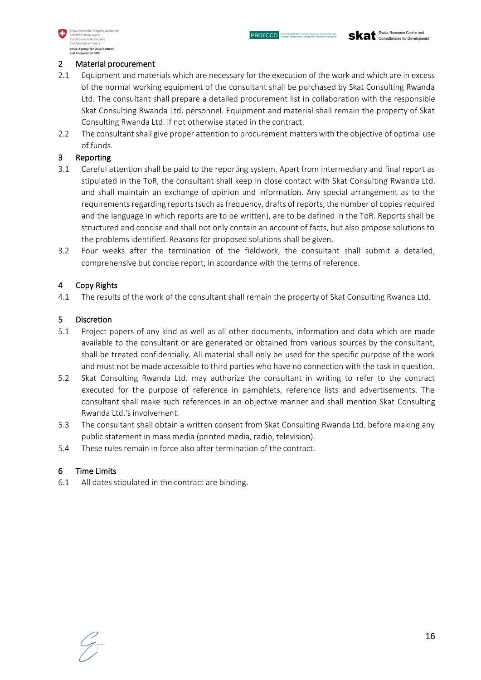

#### 2 Material procurement

- 2.1 Equipment and materials which are necessary for the execution of the work and which are in excess of the normal working equipment of the consultant shall be purchased by Skat Consulting Rwanda Ltd. The consultant shall prepare a detailed procurement list in collaboration with the responsible Skat Consulting Rwanda Ltd. personnel. Equipment and material shall remain the property of Skat Consulting Rwanda Ltd. if not otherwise stated in the contract.
- 2.2 The consultant shall give proper attention to procurement matters with the objective of optimal use of funds.

## 3 Reporting

- 3.1 Careful attention shall be paid to the reporting system. Apart from intermediary and final report as stipulated in the ToR, the consultant shall keep in close contact with Skat Consulting Rwanda Ltd. and shall maintain an exchange of opinion and information. Any special arrangement as to the requirements regarding reports (such as frequency, drafts of reports, the number of copies required and the language in which reports are to be written), are to be defined in the ToR. Reports shall be structured and concise and shall not only contain an account of facts, but also propose solutions to the problems identified. Reasons for proposed solutions shall be given.
- 3.2 Four weeks after the termination of the fieldwork, the consultant shall submit a detailed, comprehensive but concise report, in accordance with the terms of reference.

## 4 Copy Rights

4.1 The results of the work of the consultant shall remain the property of Skat Consulting Rwanda Ltd.

#### 5 Discretion

- 5.1 Project papers of any kind as well as all other documents, information and data which are made available to the consultant or are generated or obtained from various sources by the consultant, shall be treated confidentially. All material shall only be used for the specific purpose of the work and must not be made accessible to third parties who have no connection with the task in question.
- 5.2 Skat Consulting Rwanda Ltd. may authorize the consultant in writing to refer to the contract executed for the purpose of reference in pamphlets, reference lists and advertisements. The consultant shall make such references in an objective manner and shall mention Skat Consulting Rwanda Ltd.'s involvement.
- 5.3 The consultant shall obtain a written consent from Skat Consulting Rwanda Ltd. before making any public statement in mass media (printed media, radio, television).
- 5.4 These rules remain in force also after termination of the contract.

## 6 Time Limits

6.1 All dates stipulated in the contract are binding.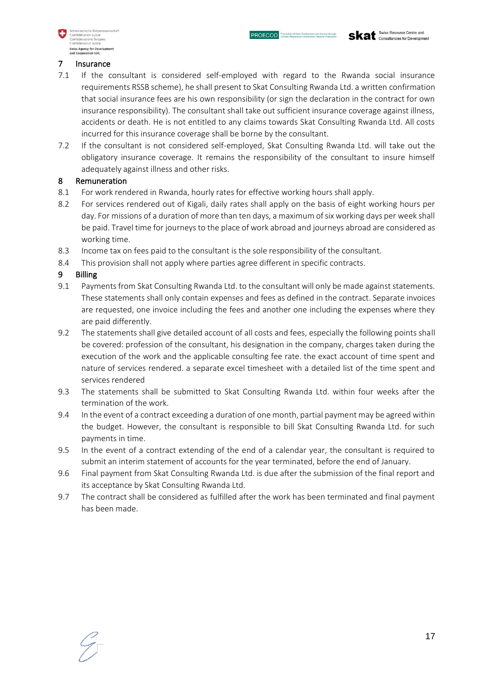

#### 7 Insurance

- 7.1 If the consultant is considered self-employed with regard to the Rwanda social insurance requirements RSSB scheme), he shall present to Skat Consulting Rwanda Ltd. a written confirmation that social insurance fees are his own responsibility (or sign the declaration in the contract for own insurance responsibility). The consultant shall take out sufficient insurance coverage against illness, accidents or death. He is not entitled to any claims towards Skat Consulting Rwanda Ltd. All costs incurred for this insurance coverage shall be borne by the consultant.
- 7.2 If the consultant is not considered self-employed, Skat Consulting Rwanda Ltd. will take out the obligatory insurance coverage. It remains the responsibility of the consultant to insure himself adequately against illness and other risks.

## 8 Remuneration

- 8.1 For work rendered in Rwanda, hourly rates for effective working hours shall apply.
- 8.2 For services rendered out of Kigali, daily rates shall apply on the basis of eight working hours per day. For missions of a duration of more than ten days, a maximum of six working days per week shall be paid. Travel time for journeys to the place of work abroad and journeys abroad are considered as working time.
- 8.3 Income tax on fees paid to the consultant is the sole responsibility of the consultant.
- 8.4 This provision shall not apply where parties agree different in specific contracts.

## 9 Billing

- 9.1 Payments from Skat Consulting Rwanda Ltd. to the consultant will only be made against statements. These statements shall only contain expenses and fees as defined in the contract. Separate invoices are requested, one invoice including the fees and another one including the expenses where they are paid differently.
- 9.2 The statements shall give detailed account of all costs and fees, especially the following points shall be covered: profession of the consultant, his designation in the company, charges taken during the execution of the work and the applicable consulting fee rate. the exact account of time spent and nature of services rendered. a separate excel timesheet with a detailed list of the time spent and services rendered
- 9.3 The statements shall be submitted to Skat Consulting Rwanda Ltd. within four weeks after the termination of the work.
- 9.4 In the event of a contract exceeding a duration of one month, partial payment may be agreed within the budget. However, the consultant is responsible to bill Skat Consulting Rwanda Ltd. for such payments in time.
- 9.5 In the event of a contract extending of the end of a calendar year, the consultant is required to submit an interim statement of accounts for the year terminated, before the end of January.
- 9.6 Final payment from Skat Consulting Rwanda Ltd. is due after the submission of the final report and its acceptance by Skat Consulting Rwanda Ltd.
- 9.7 The contract shall be considered as fulfilled after the work has been terminated and final payment has been made.